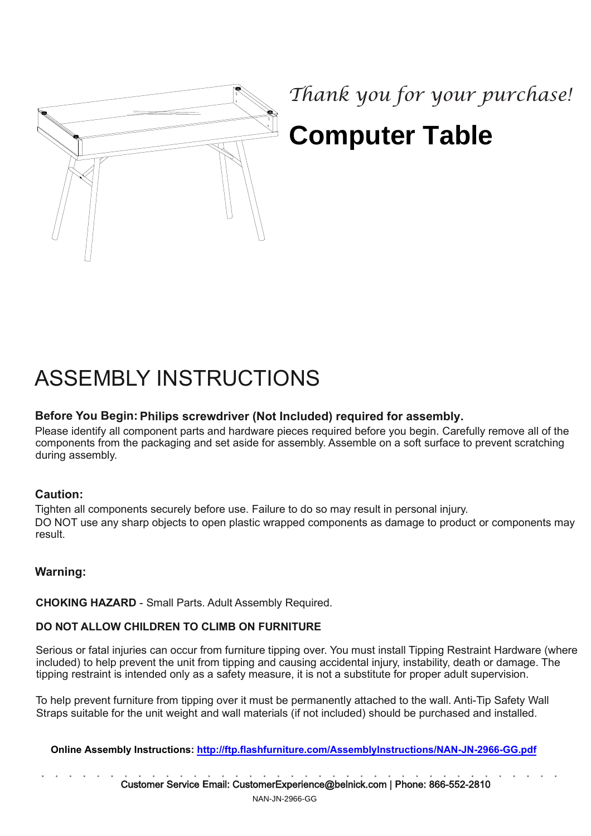

# *Thank you for your purchase!* **Computer Table**

# ASSEMBLY INSTRUCTIONS

## Before You Begin: **Philips screwdriver (Not Included) required for assembly.**

Please identify all component parts and hardware pieces required before you begin. Carefully remove all of the components from the packaging and set aside for assembly. Assemble on a soft surface to prevent scratching during assembly.

#### Caution:

Tighten all components securely before use. Failure to do so may result in personal injury. DO NOT use any sharp objects to open plastic wrapped components as damage to product or components may result.

## Warning:

CHOKING HAZARD - Small Parts. Adult Assembly Required.

#### DO NOT ALLOW CHILDREN TO CLIMB ON FURNITURE

Serious or fatal injuries can occur from furniture tipping over. You must install Tipping Restraint Hardware (where included) to help prevent the unit from tipping and causing accidental injury, instability, death or damage. The tipping restraint is intended only as a safety measure, it is not a substitute for proper adult supervision.

To help prevent furniture from tipping over it must be permanently attached to the wall. Anti-Tip Safety Wall Straps suitable for the unit weight and wall materials (if not included) should be purchased and installed.

**Online Assembly Instructions:<http://ftp.flashfurniture.com/AssemblyInstructions/NAN-JN-2966-GG.pdf>**

Customer Service **E**mail: CustomerExperience@belnick.com | **P**hone: 866-552-2810